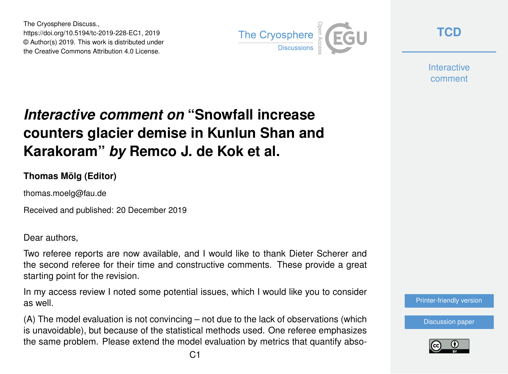The Cryosphere Discuss., https://doi.org/10.5194/tc-2019-228-EC1, 2019 © Author(s) 2019. This work is distributed under the Creative Commons Attribution 4.0 License.



**[TCD](https://www.the-cryosphere-discuss.net/)**

**Interactive** comment

## *Interactive comment on* **"Snowfall increase counters glacier demise in Kunlun Shan and Karakoram"** *by* **Remco J. de Kok et al.**

## **Thomas Mölg (Editor)**

thomas.moelg@fau.de

Received and published: 20 December 2019

Dear authors,

Two referee reports are now available, and I would like to thank Dieter Scherer and the second referee for their time and constructive comments. These provide a great starting point for the revision.

In my access review I noted some potential issues, which I would like you to consider as well.

(A) The model evaluation is not convincing – not due to the lack of observations (which is unavoidable), but because of the statistical methods used. One referee emphasizes the same problem. Please extend the model evaluation by metrics that quantify abso[Printer-friendly version](https://www.the-cryosphere-discuss.net/tc-2019-228/tc-2019-228-EC1-print.pdf)

[Discussion paper](https://www.the-cryosphere-discuss.net/tc-2019-228)

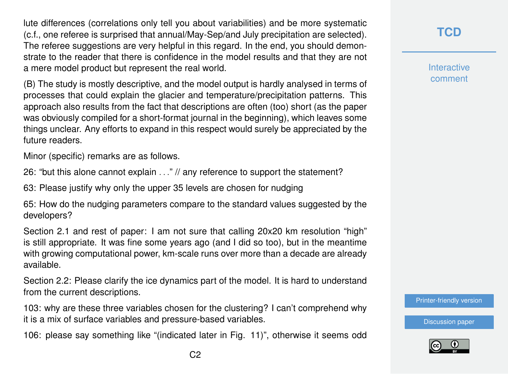lute differences (correlations only tell you about variabilities) and be more systematic (c.f., one referee is surprised that annual/May-Sep/and July precipitation are selected). The referee suggestions are very helpful in this regard. In the end, you should demonstrate to the reader that there is confidence in the model results and that they are not a mere model product but represent the real world.

(B) The study is mostly descriptive, and the model output is hardly analysed in terms of processes that could explain the glacier and temperature/precipitation patterns. This approach also results from the fact that descriptions are often (too) short (as the paper was obviously compiled for a short-format journal in the beginning), which leaves some things unclear. Any efforts to expand in this respect would surely be appreciated by the future readers.

Minor (specific) remarks are as follows.

26: "but this alone cannot explain . . ." // any reference to support the statement?

63: Please justify why only the upper 35 levels are chosen for nudging

65: How do the nudging parameters compare to the standard values suggested by the developers?

Section 2.1 and rest of paper: I am not sure that calling 20x20 km resolution "high" is still appropriate. It was fine some years ago (and I did so too), but in the meantime with growing computational power, km-scale runs over more than a decade are already available.

Section 2.2: Please clarify the ice dynamics part of the model. It is hard to understand from the current descriptions.

103: why are these three variables chosen for the clustering? I can't comprehend why it is a mix of surface variables and pressure-based variables.

106: please say something like "(indicated later in Fig. 11)", otherwise it seems odd

**[TCD](https://www.the-cryosphere-discuss.net/)**

**Interactive** comment

[Printer-friendly version](https://www.the-cryosphere-discuss.net/tc-2019-228/tc-2019-228-EC1-print.pdf)

[Discussion paper](https://www.the-cryosphere-discuss.net/tc-2019-228)